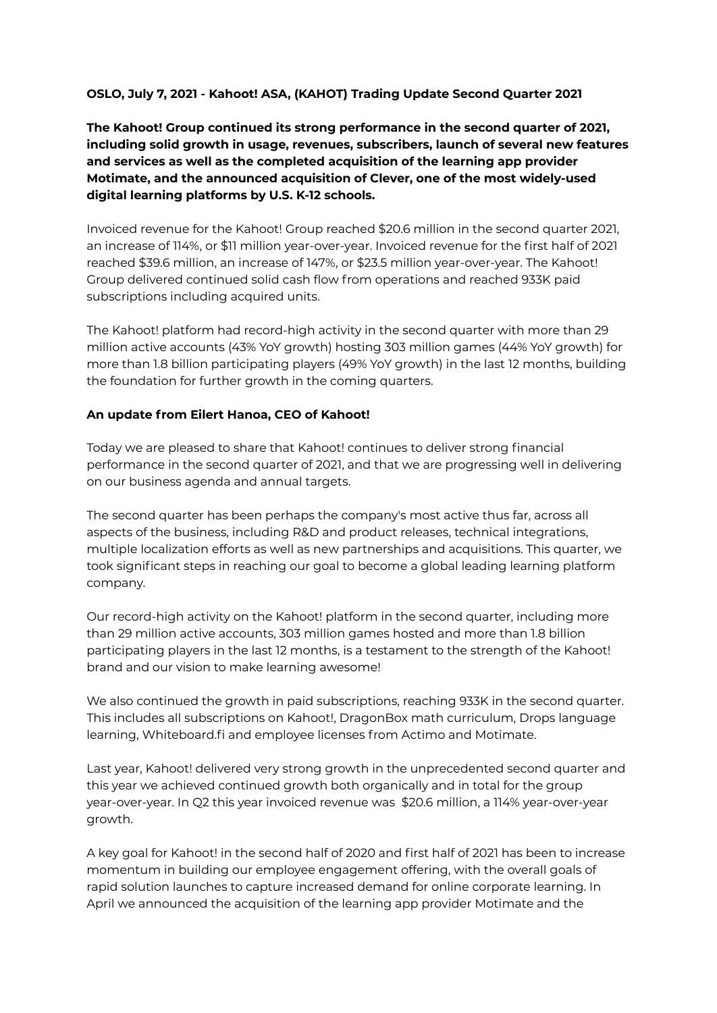## **OSLO, July 7, 2021 - Kahoot! ASA, (KAHOT) Trading Update Second Quarter 2021**

**The Kahoot! Group continued its strong performance in the second quarter of 2021, including solid growth in usage, revenues, subscribers, launch of several new features and services as well as the completed acquisition of the learning app provider Motimate, and the announced acquisition of Clever, one of the most widely-used digital learning platforms by U.S. K-12 schools.**

Invoiced revenue for the Kahoot! Group reached \$20.6 million in the second quarter 2021, an increase of 114%, or \$11 million year-over-year. Invoiced revenue for the first half of 2021 reached \$39.6 million, an increase of 147%, or \$23.5 million year-over-year. The Kahoot! Group delivered continued solid cash flow from operations and reached 933K paid subscriptions including acquired units.

The Kahoot! platform had record-high activity in the second quarter with more than 29 million active accounts (43% YoY growth) hosting 303 million games (44% YoY growth) for more than 1.8 billion participating players (49% YoY growth) in the last 12 months, building the foundation for further growth in the coming quarters.

### **An update from Eilert Hanoa, CEO of Kahoot!**

Today we are pleased to share that Kahoot! continues to deliver strong financial performance in the second quarter of 2021, and that we are progressing well in delivering on our business agenda and annual targets.

The second quarter has been perhaps the company's most active thus far, across all aspects of the business, including R&D and product releases, technical integrations, multiple localization efforts as well as new partnerships and acquisitions. This quarter, we took significant steps in reaching our goal to become a global leading learning platform company.

Our record-high activity on the Kahoot! platform in the second quarter, including more than 29 million active accounts, 303 million games hosted and more than 1.8 billion participating players in the last 12 months, is a testament to the strength of the Kahoot! brand and our vision to make learning awesome!

We also continued the growth in paid subscriptions, reaching 933K in the second quarter. This includes all subscriptions on Kahoot!, DragonBox math curriculum, Drops language learning, Whiteboard.fi and employee licenses from Actimo and Motimate.

Last year, Kahoot! delivered very strong growth in the unprecedented second quarter and this year we achieved continued growth both organically and in total for the group year-over-year. In Q2 this year invoiced revenue was \$20.6 million, a 114% year-over-year growth.

A key goal for Kahoot! in the second half of 2020 and first half of 2021 has been to increase momentum in building our employee engagement offering, with the overall goals of rapid solution launches to capture increased demand for online corporate learning. In April we announced the acquisition of the learning app provider Motimate and the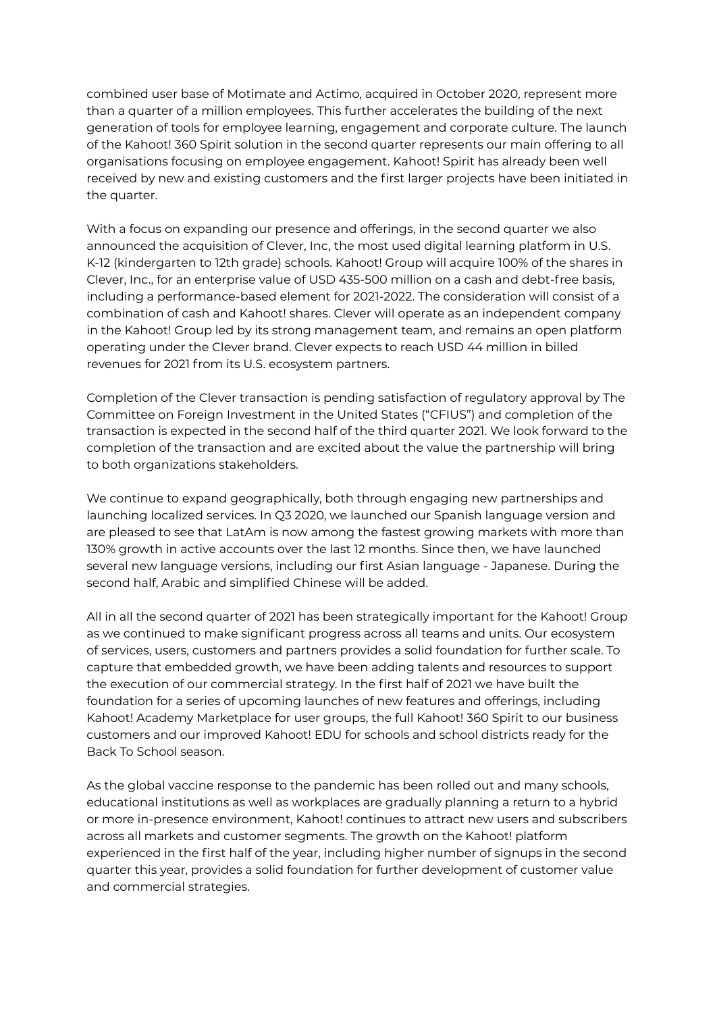combined user base of Motimate and Actimo, acquired in October 2020, represent more than a quarter of a million employees. This further accelerates the building of the next generation of tools for employee learning, engagement and corporate culture. The launch of the Kahoot! 360 Spirit solution in the second quarter represents our main offering to all organisations focusing on employee engagement. Kahoot! Spirit has already been well received by new and existing customers and the first larger projects have been initiated in the quarter.

With a focus on expanding our presence and offerings, in the second quarter we also announced the acquisition of Clever, Inc, the most used digital learning platform in U.S. K-12 (kindergarten to 12th grade) schools. Kahoot! Group will acquire 100% of the shares in Clever, Inc., for an enterprise value of USD 435-500 million on a cash and debt-free basis, including a performance-based element for 2021-2022. The consideration will consist of a combination of cash and Kahoot! shares. Clever will operate as an independent company in the Kahoot! Group led by its strong management team, and remains an open platform operating under the Clever brand. Clever expects to reach USD 44 million in billed revenues for 2021 from its U.S. ecosystem partners.

Completion of the Clever transaction is pending satisfaction of regulatory approval by The Committee on Foreign Investment in the United States ("CFIUS") and completion of the transaction is expected in the second half of the third quarter 2021. We look forward to the completion of the transaction and are excited about the value the partnership will bring to both organizations stakeholders.

We continue to expand geographically, both through engaging new partnerships and launching localized services. In Q3 2020, we launched our Spanish language version and are pleased to see that LatAm is now among the fastest growing markets with more than 130% growth in active accounts over the last 12 months. Since then, we have launched several new language versions, including our first Asian language - Japanese. During the second half, Arabic and simplified Chinese will be added.

All in all the second quarter of 2021 has been strategically important for the Kahoot! Group as we continued to make significant progress across all teams and units. Our ecosystem of services, users, customers and partners provides a solid foundation for further scale. To capture that embedded growth, we have been adding talents and resources to support the execution of our commercial strategy. In the first half of 2021 we have built the foundation for a series of upcoming launches of new features and offerings, including Kahoot! Academy Marketplace for user groups, the full Kahoot! 360 Spirit to our business customers and our improved Kahoot! EDU for schools and school districts ready for the Back To School season.

As the global vaccine response to the pandemic has been rolled out and many schools, educational institutions as well as workplaces are gradually planning a return to a hybrid or more in-presence environment, Kahoot! continues to attract new users and subscribers across all markets and customer segments. The growth on the Kahoot! platform experienced in the first half of the year, including higher number of signups in the second quarter this year, provides a solid foundation for further development of customer value and commercial strategies.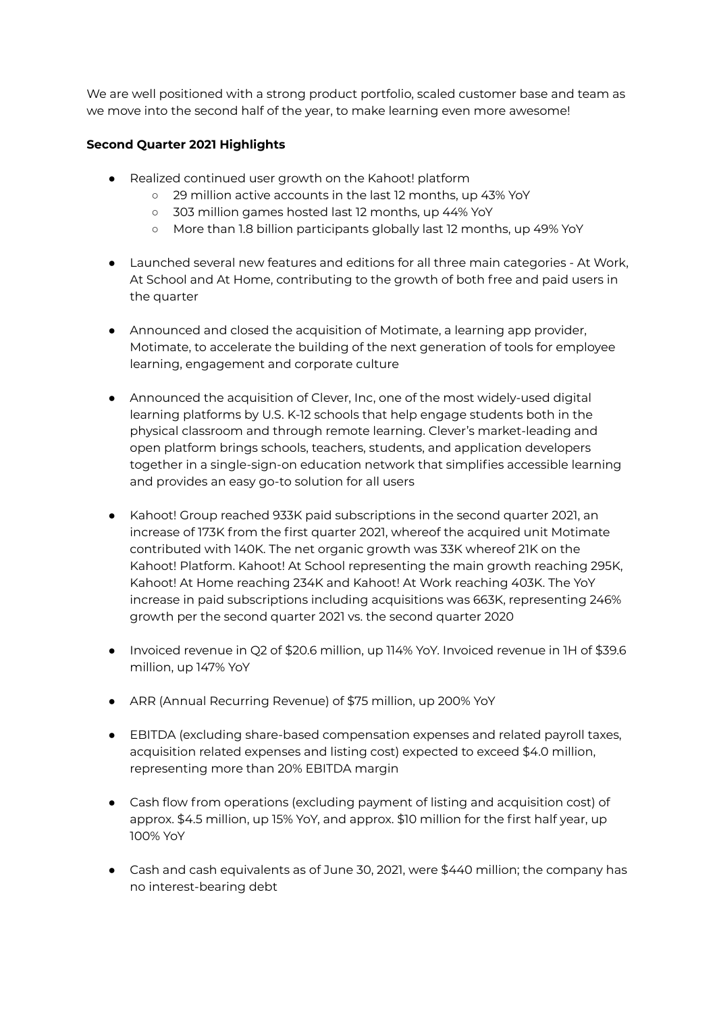We are well positioned with a strong product portfolio, scaled customer base and team as we move into the second half of the year, to make learning even more awesome!

# **Second Quarter 2021 Highlights**

- Realized continued user growth on the Kahoot! platform
	- 29 million active accounts in the last 12 months, up 43% YoY
	- 303 million games hosted last 12 months, up 44% YoY
	- More than 1.8 billion participants globally last 12 months, up 49% YoY
- Launched several new features and editions for all three main categories At Work, At School and At Home, contributing to the growth of both free and paid users in the quarter
- Announced and closed the acquisition of Motimate, a learning app provider, Motimate, to accelerate the building of the next generation of tools for employee learning, engagement and corporate culture
- Announced the acquisition of Clever, Inc, one of the most widely-used digital learning platforms by U.S. K-12 schools that help engage students both in the physical classroom and through remote learning. Clever's market-leading and open platform brings schools, teachers, students, and application developers together in a single-sign-on education network that simplifies accessible learning and provides an easy go-to solution for all users
- Kahoot! Group reached 933K paid subscriptions in the second quarter 2021, an increase of 173K from the first quarter 2021, whereof the acquired unit Motimate contributed with 140K. The net organic growth was 33K whereof 21K on the Kahoot! Platform. Kahoot! At School representing the main growth reaching 295K, Kahoot! At Home reaching 234K and Kahoot! At Work reaching 403K. The YoY increase in paid subscriptions including acquisitions was 663K, representing 246% growth per the second quarter 2021 vs. the second quarter 2020
- Invoiced revenue in Q2 of \$20.6 million, up 114% YoY. Invoiced revenue in 1H of \$39.6 million, up 147% YoY
- ARR (Annual Recurring Revenue) of \$75 million, up 200% YoY
- EBITDA (excluding share-based compensation expenses and related payroll taxes, acquisition related expenses and listing cost) expected to exceed \$4.0 million, representing more than 20% EBITDA margin
- Cash flow from operations (excluding payment of listing and acquisition cost) of approx. \$4.5 million, up 15% YoY, and approx. \$10 million for the first half year, up 100% YoY
- Cash and cash equivalents as of June 30, 2021, were \$440 million; the company has no interest-bearing debt